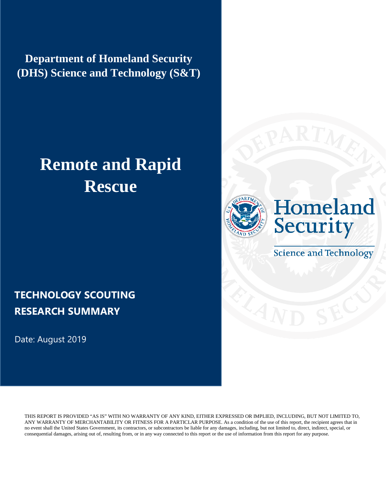**Department of Homeland Security (DHS) Science and Technology (S&T)**

# **Remote and Rapid Rescue**





**Science and Technology** 

### **TECHNOLOGY SCOUTING RESEARCH SUMMARY**

Date: August 2019

THIS REPORT IS PROVIDED "AS IS" WITH NO WARRANTY OF ANY KIND, EITHER EXPRESSED OR IMPLIED, INCLUDING, BUT NOT LIMITED TO, ANY WARRANTY OF MERCHANTABILITY OR FITNESS FOR A PARTICLAR PURPOSE. As a condition of the use of this report, the recipient agrees that in no event shall the United States Government, its contractors, or subcontractors be liable for any damages, including, but not limited to, direct, indirect, special, or consequential damages, arising out of, resulting from, or in any way connected to this report or the use of information from this report for any purpose.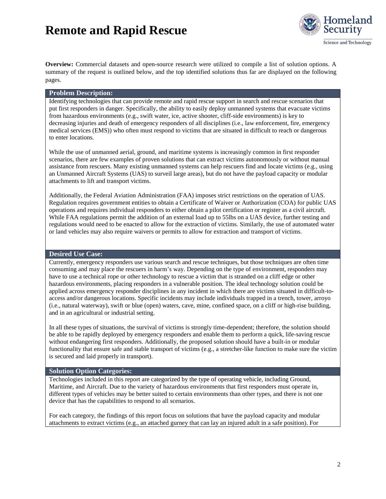

**Overview:** Commercial datasets and open-source research were utilized to compile a list of solution options. A summary of the request is outlined below, and the top identified solutions thus far are displayed on the following pages.

#### **Problem Description:**

Identifying technologies that can provide remote and rapid rescue support in search and rescue scenarios that put first responders in danger. Specifically, the ability to easily deploy unmanned systems that evacuate victims from hazardous environments (e.g., swift water, ice, active shooter, cliff-side environments) is key to decreasing injuries and death of emergency responders of all disciplines (i.e., law enforcement, fire, emergency medical services (EMS)) who often must respond to victims that are situated in difficult to reach or dangerous to enter locations.

While the use of unmanned aerial, ground, and maritime systems is increasingly common in first responder scenarios, there are few examples of proven solutions that can extract victims autonomously or without manual assistance from rescuers. Many existing unmanned systems can help rescuers find and locate victims (e.g., using an Unmanned Aircraft Systems (UAS) to surveil large areas), but do not have the payload capacity or modular attachments to lift and transport victims.

Additionally, the Federal Aviation Administration (FAA) imposes strict restrictions on the operation of UAS. Regulation requires government entities to obtain a Certificate of Waiver or Authorization (COA) for public UAS operations and requires individual responders to either obtain a pilot certification or register as a civil aircraft. While FAA regulations permit the addition of an external load up to 55lbs on a UAS device, further testing and regulations would need to be enacted to allow for the extraction of victims. Similarly, the use of automated water or land vehicles may also require waivers or permits to allow for extraction and transport of victims.

#### **Desired Use Case:**

Currently, emergency responders use various search and rescue techniques, but those techniques are often time consuming and may place the rescuers in harm's way. Depending on the type of environment, responders may have to use a technical rope or other technology to rescue a victim that is stranded on a cliff edge or other hazardous environments, placing responders in a vulnerable position. The ideal technology solution could be applied across emergency responder disciplines in any incident in which there are victims situated in difficult-toaccess and/or dangerous locations. Specific incidents may include individuals trapped in a trench, tower, arroyo (i.e., natural waterway), swift or blue (open) waters, cave, mine, confined space, on a cliff or high-rise building, and in an agricultural or industrial setting.

In all these types of situations, the survival of victims is strongly time-dependent; therefore, the solution should be able to be rapidly deployed by emergency responders and enable them to perform a quick, life-saving rescue without endangering first responders. Additionally, the proposed solution should have a built-in or modular functionality that ensure safe and stable transport of victims (e.g., a stretcher-like function to make sure the victim is secured and laid properly in transport).

#### **Solution Option Categories:**

Technologies included in this report are categorized by the type of operating vehicle, including Ground, Maritime, and Aircraft. Due to the variety of hazardous environments that first responders must operate in, different types of vehicles may be better suited to certain environments than other types, and there is not one device that has the capabilities to respond to all scenarios.

For each category, the findings of this report focus on solutions that have the payload capacity and modular attachments to extract victims (e.g., an attached gurney that can lay an injured adult in a safe position). For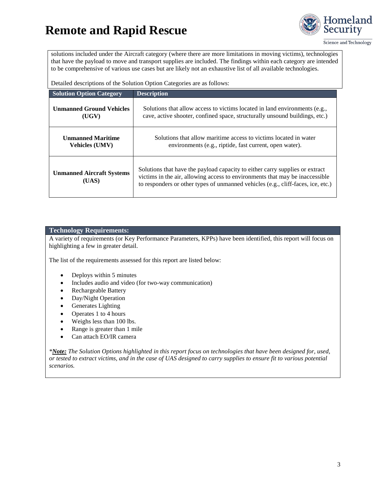

Science and Technology

solutions included under the Aircraft category (where there are more limitations in moving victims), technologies that have the payload to move and transport supplies are included. The findings within each category are intended to be comprehensive of various use cases but are likely not an exhaustive list of all available technologies.

Detailed descriptions of the Solution Option Categories are as follows:

| <b>Solution Option Category</b>           | <b>Description</b>                                                                                                                                                                                                                               |
|-------------------------------------------|--------------------------------------------------------------------------------------------------------------------------------------------------------------------------------------------------------------------------------------------------|
| <b>Unmanned Ground Vehicles</b>           | Solutions that allow access to victims located in land environments (e.g.,                                                                                                                                                                       |
| (UGV)                                     | cave, active shooter, confined space, structurally unsound buildings, etc.)                                                                                                                                                                      |
| <b>Unmanned Maritime</b>                  | Solutions that allow maritime access to victims located in water                                                                                                                                                                                 |
| <b>Vehicles (UMV)</b>                     | environments (e.g., riptide, fast current, open water).                                                                                                                                                                                          |
| <b>Unmanned Aircraft Systems</b><br>(UAS) | Solutions that have the payload capacity to either carry supplies or extract<br>victims in the air, allowing access to environments that may be inaccessible<br>to responders or other types of unmanned vehicles (e.g., cliff-faces, ice, etc.) |

#### **Technology Requirements:**

A variety of requirements (or Key Performance Parameters, KPPs) have been identified, this report will focus on highlighting a few in greater detail.

The list of the requirements assessed for this report are listed below:

- Deploys within 5 minutes
- Includes audio and video (for two-way communication)
- Rechargeable Battery
- Day/Night Operation
- Generates Lighting
- Operates 1 to 4 hours
- Weighs less than 100 lbs.
- Range is greater than 1 mile
- Can attach EO/IR camera

*\*Note: The Solution Options highlighted in this report focus on technologies that have been designed for, used, or tested to extract victims, and in the case of UAS designed to carry supplies to ensure fit to various potential scenarios.*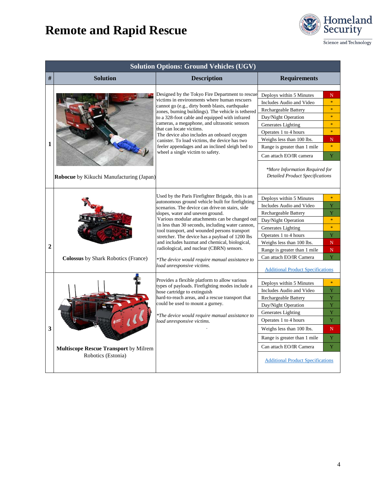

Science and Technology

|                | <b>Solution Options: Ground Vehicles (UGV)</b>                     |                                                                                                                                                                                                                                                                                                                                                                                                                                                                                                                                                                                      |                                                                                                                                                                                                                                                                                                                        |                                                                                         |
|----------------|--------------------------------------------------------------------|--------------------------------------------------------------------------------------------------------------------------------------------------------------------------------------------------------------------------------------------------------------------------------------------------------------------------------------------------------------------------------------------------------------------------------------------------------------------------------------------------------------------------------------------------------------------------------------|------------------------------------------------------------------------------------------------------------------------------------------------------------------------------------------------------------------------------------------------------------------------------------------------------------------------|-----------------------------------------------------------------------------------------|
| $\#$           | <b>Solution</b>                                                    | <b>Description</b>                                                                                                                                                                                                                                                                                                                                                                                                                                                                                                                                                                   | <b>Requirements</b>                                                                                                                                                                                                                                                                                                    |                                                                                         |
| 1              | Robocue by Kikuchi Manufacturing (Japan)                           | Designed by the Tokyo Fire Department to rescue<br>victims in environments where human rescuers<br>cannot go (e.g., dirty bomb blasts, earthquake<br>zones, burning buildings). The vehicle is tethered<br>to a 328-foot cable and equipped with infrared<br>cameras, a megaphone, and ultrasonic sensors<br>that can locate victims.<br>The device also includes an onboard oxygen<br>canister. To load victims, the device has two<br>feeler appendages and an inclined sleigh bed to<br>wheel a single victim to safety.                                                          | Deploys within 5 Minutes<br>Includes Audio and Video<br>Rechargeable Battery<br>Day/Night Operation<br>Generates Lighting<br>Operates 1 to 4 hours<br>Weighs less than 100 lbs.<br>Range is greater than 1 mile<br>Can attach EO/IR camera<br>*More Information Required for<br><b>Detailed Product Specifications</b> | N<br>$\ast$<br>$\ast$<br>$\ast$<br>$\mathbf{g}_k$<br>$\ast$<br>N<br>$\mathbf{g}_k$<br>Ÿ |
| $\overline{2}$ | <b>Colossus</b> by Shark Robotics (France)                         | Used by the Paris Firefighter Brigade, this is an<br>autonomous ground vehicle built for firefighting<br>scenarios. The device can drive on stairs, side<br>slopes, water and uneven ground.<br>Various modular attachments can be changed out<br>in less than 30 seconds, including water cannon,<br>tool transport, and wounded persons transport<br>stretcher. The device has a payload of 1200 lbs<br>and includes hazmat and chemical, biological,<br>radiological, and nuclear (CBRN) sensors.<br>*The device would require manual assistance to<br>load unresponsive victims. | Deploys within 5 Minutes<br>Includes Audio and Video<br>Rechargeable Battery<br>Day/Night Operation<br>Generates Lighting<br>Operates 1 to 4 hours<br>Weighs less than 100 lbs.<br>Range is greater than 1 mile<br>Can attach EO/IR Camera<br><b>Additional Product Specifications</b>                                 | $\mathbf{g}_k$<br>Y<br>Y<br>$\ast$<br>$\ast$<br>Y<br>$\mathbf N$<br>$\mathbb N$<br>Y.   |
| 3              | <b>Multiscope Rescue Transport</b> by Milrem<br>Robotics (Estonia) | Provides a flexible platform to allow various<br>types of payloads. Firefighting modes include a<br>hose cartridge to extinguish<br>hard-to-reach areas, and a rescue transport that<br>could be used to mount a gurney.<br>*The device would require manual assistance to<br>load unresponsive victims.                                                                                                                                                                                                                                                                             | Deploys within 5 Minutes<br>Includes Audio and Video<br>Rechargeable Battery<br>Day/Night Operation<br>Generates Lighting<br>Operates 1 to 4 hours<br>Weighs less than 100 lbs.<br>Range is greater than 1 mile<br>Can attach EO/IR Camera<br><b>Additional Product Specifications</b>                                 | $\ast$<br>Y<br>Y<br>$\bar{\rm Y}$<br>Ÿ<br>Y<br>N<br>$\bar{\rm Y}$<br>Y                  |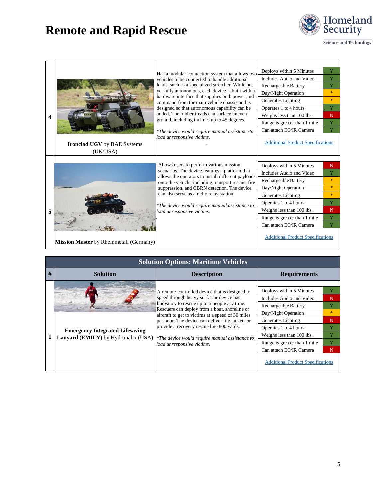

Science and Technology

|   | <b>CALL DEL DELLE</b>              | Has a modular connection system that allows two                                                          | Deploys within 5 Minutes                 | Y             |
|---|------------------------------------|----------------------------------------------------------------------------------------------------------|------------------------------------------|---------------|
|   |                                    | vehicles to be connected to handle additional                                                            | Includes Audio and Video                 | Y             |
|   |                                    | loads, such as a specialized stretcher. While not                                                        | Rechargeable Battery                     | Y             |
|   |                                    | yet fully autonomous, each device is built with a<br>hardware interface that supplies both power and     | Day/Night Operation                      | $\mathcal{H}$ |
|   |                                    | command from the main vehicle chassis and is                                                             | Generates Lighting                       | $\mathcal{H}$ |
|   |                                    | designed so that autonomous capability can be                                                            | Operates 1 to 4 hours                    | Y             |
| 4 |                                    | added. The rubber treads can surface uneven                                                              | Weighs less than 100 lbs.                | N             |
|   |                                    | ground, including inclines up to 45 degrees.                                                             | Range is greater than 1 mile             | Y             |
|   |                                    | *The device would require manual assistance to                                                           | Can attach EO/IR Camera                  | Ÿ             |
|   |                                    | load unresponsive victims.                                                                               |                                          |               |
|   | <b>Ironclad UGV</b> by BAE Systems |                                                                                                          | <b>Additional Product Specifications</b> |               |
|   | (UK/USA)                           |                                                                                                          |                                          |               |
|   |                                    |                                                                                                          |                                          |               |
|   |                                    | Allows users to perform various mission                                                                  | Deploys within 5 Minutes                 | N             |
|   |                                    |                                                                                                          |                                          |               |
|   |                                    | scenarios. The device features a platform that                                                           | Includes Audio and Video                 | Y             |
|   |                                    | allows the operators to install different payloads<br>onto the vehicle, including transport rescue, fire | Rechargeable Battery                     | $\frac{1}{2}$ |
|   |                                    | suppression, and CBRN detection. The device                                                              | Day/Night Operation                      | $\mathbf{k}$  |
|   |                                    | can also serve as a radio relay station.                                                                 | Generates Lighting                       | $\star$       |
|   |                                    |                                                                                                          | Operates 1 to 4 hours                    | Y             |
| 5 |                                    | *The device would require manual assistance to<br>load unresponsive victims.                             | Weighs less than 100 lbs.                | N             |
|   |                                    |                                                                                                          | Range is greater than 1 mile             | Y             |
|   |                                    |                                                                                                          | Can attach EO/IR Camera                  | Y             |

|   | <b>Solution Options: Maritime Vehicles</b>                                           |                                                                                                                                                                                                                                                                                                                                                                                                                                   |                                                                                                                                                                                                                                                                                               |                                                       |  |  |
|---|--------------------------------------------------------------------------------------|-----------------------------------------------------------------------------------------------------------------------------------------------------------------------------------------------------------------------------------------------------------------------------------------------------------------------------------------------------------------------------------------------------------------------------------|-----------------------------------------------------------------------------------------------------------------------------------------------------------------------------------------------------------------------------------------------------------------------------------------------|-------------------------------------------------------|--|--|
| # | <b>Solution</b>                                                                      | <b>Description</b>                                                                                                                                                                                                                                                                                                                                                                                                                | <b>Requirements</b>                                                                                                                                                                                                                                                                           |                                                       |  |  |
|   | <b>Emergency Integrated Lifesaving</b><br><b>Lanyard (EMILY)</b> by Hydronalix (USA) | A remote-controlled device that is designed to<br>speed through heavy surf. The device has<br>buoyancy to rescue up to 5 people at a time.<br>Rescuers can deploy from a boat, shoreline or<br>aircraft to get to victims at a speed of 30 miles<br>per hour. The device can deliver life jackets or<br>provide a recovery rescue line 800 yards.<br>*The device would require manual assistance to<br>load unresponsive victims. | Deploys within 5 Minutes<br>Includes Audio and Video<br><b>Rechargeable Battery</b><br>Day/Night Operation<br>Generates Lighting<br>Operates 1 to 4 hours<br>Weighs less than 100 lbs.<br>Range is greater than 1 mile<br>Can attach EO/IR Camera<br><b>Additional Product Specifications</b> | Y<br>N<br>Y<br>$\frac{1}{2}$<br>N<br>Y<br>Y<br>Y<br>N |  |  |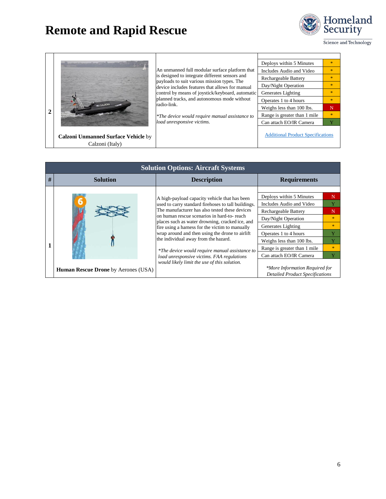

 $\overline{Y}$ 

Science and Technology

|   |                                                                                                                                                       |                                                                                                                                                                                                                                                        | Deploys within 5 Minutes                 |               |
|---|-------------------------------------------------------------------------------------------------------------------------------------------------------|--------------------------------------------------------------------------------------------------------------------------------------------------------------------------------------------------------------------------------------------------------|------------------------------------------|---------------|
|   | is designed to integrate different sensors and<br>payloads to suit various mission types. The<br>radio-link.<br>CALZONI<br>load unresponsive victims. | An unmanned full modular surface platform that<br>device includes features that allows for manual<br>control by means of joystick/keyboard, automatic<br>planned tracks, and autonomous mode without<br>*The device would require manual assistance to | Includes Audio and Video                 | $\mathcal{H}$ |
|   |                                                                                                                                                       |                                                                                                                                                                                                                                                        | Rechargeable Battery                     |               |
|   |                                                                                                                                                       |                                                                                                                                                                                                                                                        | Day/Night Operation                      |               |
|   |                                                                                                                                                       |                                                                                                                                                                                                                                                        | Generates Lighting                       | 東             |
|   |                                                                                                                                                       |                                                                                                                                                                                                                                                        | Operates 1 to 4 hours                    | $\frac{1}{2}$ |
|   |                                                                                                                                                       |                                                                                                                                                                                                                                                        | Weighs less than 100 lbs.                | N             |
| 2 |                                                                                                                                                       |                                                                                                                                                                                                                                                        | Range is greater than 1 mile             | $\mathbf{R}$  |
|   |                                                                                                                                                       |                                                                                                                                                                                                                                                        | Can attach EO/IR Camera                  | Y             |
|   | <b>Calzoni Unmanned Surface Vehicle by</b><br>Calzoni (Italy)                                                                                         |                                                                                                                                                                                                                                                        | <b>Additional Product Specifications</b> |               |

|   | <b>Solution Options: Aircraft Systems</b>  |                                                                                                                                                                                                                                                                                                                                                                                                                                                                                                                                                        |                                                                                                                                                                                                                                            |                                                     |  |  |
|---|--------------------------------------------|--------------------------------------------------------------------------------------------------------------------------------------------------------------------------------------------------------------------------------------------------------------------------------------------------------------------------------------------------------------------------------------------------------------------------------------------------------------------------------------------------------------------------------------------------------|--------------------------------------------------------------------------------------------------------------------------------------------------------------------------------------------------------------------------------------------|-----------------------------------------------------|--|--|
| # | <b>Solution</b>                            | <b>Description</b>                                                                                                                                                                                                                                                                                                                                                                                                                                                                                                                                     | <b>Requirements</b>                                                                                                                                                                                                                        |                                                     |  |  |
|   |                                            | A high-payload capacity vehicle that has been<br>used to carry standard firehoses to tall buildings.<br>The manufacturer has also tested these devices<br>on human rescue scenarios in hard-to- reach<br>places such as water drowning, cracked ice, and<br>fire using a harness for the victim to manually<br>wrap around and then using the drone to airlift<br>the individual away from the hazard.<br>*The device would require manual assistance to<br>load unresponsive victims. FAA regulations<br>would likely limit the use of this solution. | Deploys within 5 Minutes<br>Includes Audio and Video<br>Rechargeable Battery<br>Day/Night Operation<br>Generates Lighting<br>Operates 1 to 4 hours<br>Weighs less than 100 lbs.<br>Range is greater than 1 mile<br>Can attach EO/IR Camera | N<br>N<br>$\star$<br>$\mathcal{H}$<br>$\mathcal{H}$ |  |  |
|   | <b>Human Rescue Drone</b> by Aerones (USA) |                                                                                                                                                                                                                                                                                                                                                                                                                                                                                                                                                        | *More Information Required for<br><b>Detailed Product Specifications</b>                                                                                                                                                                   |                                                     |  |  |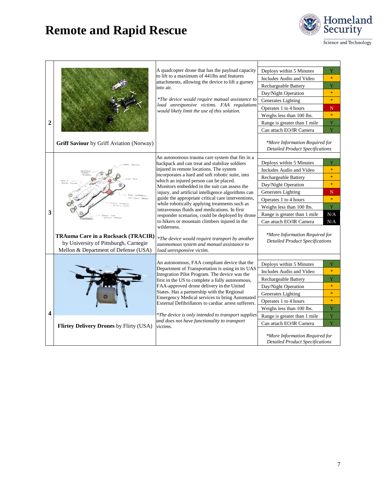

| $\overline{2}$ | Griff Saviour by Griff Aviation (Norway)                                                                                   | A quadcopter drone that has the payload capacity<br>to lift to a maximum of 441lbs and features<br>attachments, allowing the device to lift a gurney<br>into air.<br>*The device would require manual assistance to<br>load unresponsive victims. FAA regulations<br>would likely limit the use of this solution.                                                                                                                                                                                                                                                                                                                                                                                                                                      | Deploys within 5 Minutes<br>Includes Audio and Video<br>Rechargeable Battery<br>Day/Night Operation<br>Generates Lighting<br>Operates 1 to 4 hours<br>Weighs less than 100 lbs.<br>Range is greater than 1 mile<br>Can attach EO/IR Camera<br>*More Information Required for                                           | Ÿ<br>$\ast$<br>Ÿ<br>$\ast$<br>$\frac{1}{2}$<br>N<br>$\ast$<br>Y<br>Y            |
|----------------|----------------------------------------------------------------------------------------------------------------------------|--------------------------------------------------------------------------------------------------------------------------------------------------------------------------------------------------------------------------------------------------------------------------------------------------------------------------------------------------------------------------------------------------------------------------------------------------------------------------------------------------------------------------------------------------------------------------------------------------------------------------------------------------------------------------------------------------------------------------------------------------------|------------------------------------------------------------------------------------------------------------------------------------------------------------------------------------------------------------------------------------------------------------------------------------------------------------------------|---------------------------------------------------------------------------------|
|                |                                                                                                                            |                                                                                                                                                                                                                                                                                                                                                                                                                                                                                                                                                                                                                                                                                                                                                        | <b>Detailed Product Specifications</b>                                                                                                                                                                                                                                                                                 |                                                                                 |
| 3              | <b>TRAuma Care in a Rucksack (TRACIR)</b><br>by University of Pittsburgh, Carnegie<br>Mellon & Department of Defense (USA) | An autonomous trauma care system that fits in a<br>backpack and can treat and stabilize soldiers<br>injured in remote locations. The system<br>incorporates a hard and soft robotic suite, into<br>which an injured person can be placed.<br>Monitors embedded in the suit can assess the<br>injury, and artificial intelligence algorithms can<br>guide the appropriate critical care interventions,<br>while robotically applying treatments such as<br>intravenous fluids and medications. In first<br>responder scenarios, could be deployed by drone<br>to hikers or mountain climbers injured in the<br>wilderness.<br>*The device would require transport by another<br>autonomous system and manual assistance to<br>load unresponsive victim. | Deploys within 5 Minutes<br>Includes Audio and Video<br>Rechargeable Battery<br>Day/Night Operation<br>Generates Lighting<br>Operates 1 to 4 hours<br>Weighs less than 100 lbs.<br>Range is greater than 1 mile<br>Can attach EO/IR Camera<br>*More Information Required for<br><b>Detailed Product Specifications</b> | Y<br>$\frac{1}{2}$<br>$\ast$<br>$\frac{1}{2}$<br>N<br>$\ast$<br>Ÿ<br>N/A<br>N/A |
| 4              | Flirtey Delivery Drones by Flirty (USA)                                                                                    | An autonomous, FAA compliant device that the<br>Department of Transportation is using in its UAS<br>Integration Pilot Program. The device was the<br>first in the US to complete a fully autonomous,<br>FAA-approved drone delivery in the United<br>States. Has a partnership with the Regional<br>Emergency Medical services to bring Automated<br>External Defibrillators to cardiac arrest sufferers.<br>*The device is only intended to transport supplies<br>and does not have functionality to transport<br>victims.                                                                                                                                                                                                                            | Deploys within 5 Minutes<br>Includes Audio and Video<br>Rechargeable Battery<br>Day/Night Operation<br>Generates Lighting<br>Operates 1 to 4 hours<br>Weighs less than 100 lbs.<br>Range is greater than 1 mile<br>Can attach EO/IR Camera<br>*More Information Required for<br><b>Detailed Product Specifications</b> | Y<br>$\ast$<br>Y<br>$\ast$<br>$\ast$<br>$\ast$<br>Ÿ<br>Y<br>Ÿ                   |